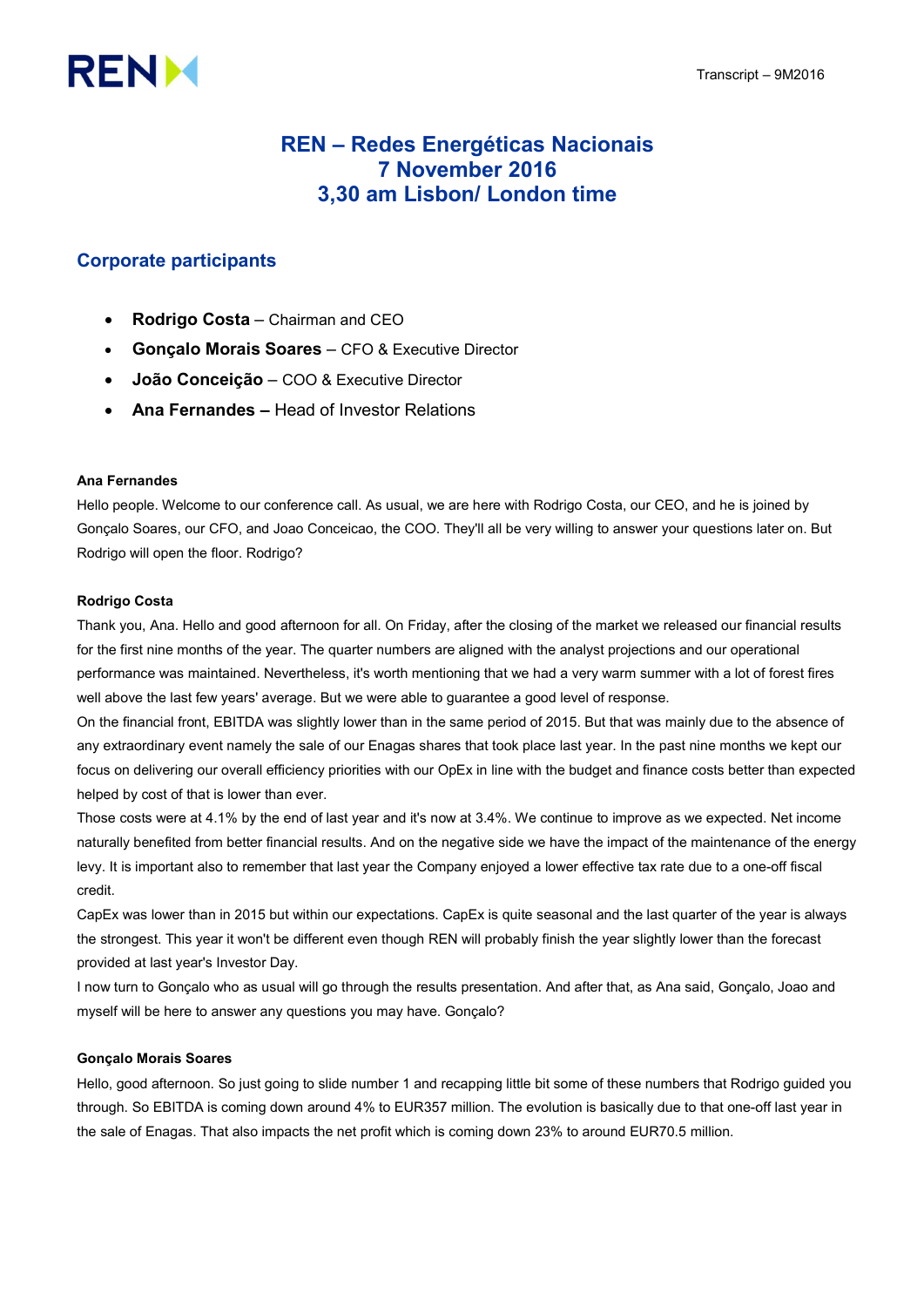# **RENM**

# REN – Redes Energéticas Nacionais 7 November 2016 3,30 am Lisbon/ London time

# Corporate participants

- Rodrigo Costa Chairman and CEO
- Gonçalo Morais Soares CFO & Executive Director
- João Conceição COO & Executive Director
- Ana Fernandes Head of Investor Relations

# Ana Fernandes

Hello people. Welcome to our conference call. As usual, we are here with Rodrigo Costa, our CEO, and he is joined by Gonçalo Soares, our CFO, and Joao Conceicao, the COO. They'll all be very willing to answer your questions later on. But Rodrigo will open the floor. Rodrigo?

# Rodrigo Costa

Thank you, Ana. Hello and good afternoon for all. On Friday, after the closing of the market we released our financial results for the first nine months of the year. The quarter numbers are aligned with the analyst projections and our operational performance was maintained. Nevertheless, it's worth mentioning that we had a very warm summer with a lot of forest fires well above the last few years' average. But we were able to guarantee a good level of response.

On the financial front, EBITDA was slightly lower than in the same period of 2015. But that was mainly due to the absence of any extraordinary event namely the sale of our Enagas shares that took place last year. In the past nine months we kept our focus on delivering our overall efficiency priorities with our OpEx in line with the budget and finance costs better than expected helped by cost of that is lower than ever.

Those costs were at 4.1% by the end of last year and it's now at 3.4%. We continue to improve as we expected. Net income naturally benefited from better financial results. And on the negative side we have the impact of the maintenance of the energy levy. It is important also to remember that last year the Company enjoyed a lower effective tax rate due to a one-off fiscal credit.

CapEx was lower than in 2015 but within our expectations. CapEx is quite seasonal and the last quarter of the year is always the strongest. This year it won't be different even though REN will probably finish the year slightly lower than the forecast provided at last year's Investor Day.

I now turn to Gonçalo who as usual will go through the results presentation. And after that, as Ana said, Gonçalo, Joao and myself will be here to answer any questions you may have. Gonçalo?

# Gonçalo Morais Soares

Hello, good afternoon. So just going to slide number 1 and recapping little bit some of these numbers that Rodrigo guided you through. So EBITDA is coming down around 4% to EUR357 million. The evolution is basically due to that one-off last year in the sale of Enagas. That also impacts the net profit which is coming down 23% to around EUR70.5 million.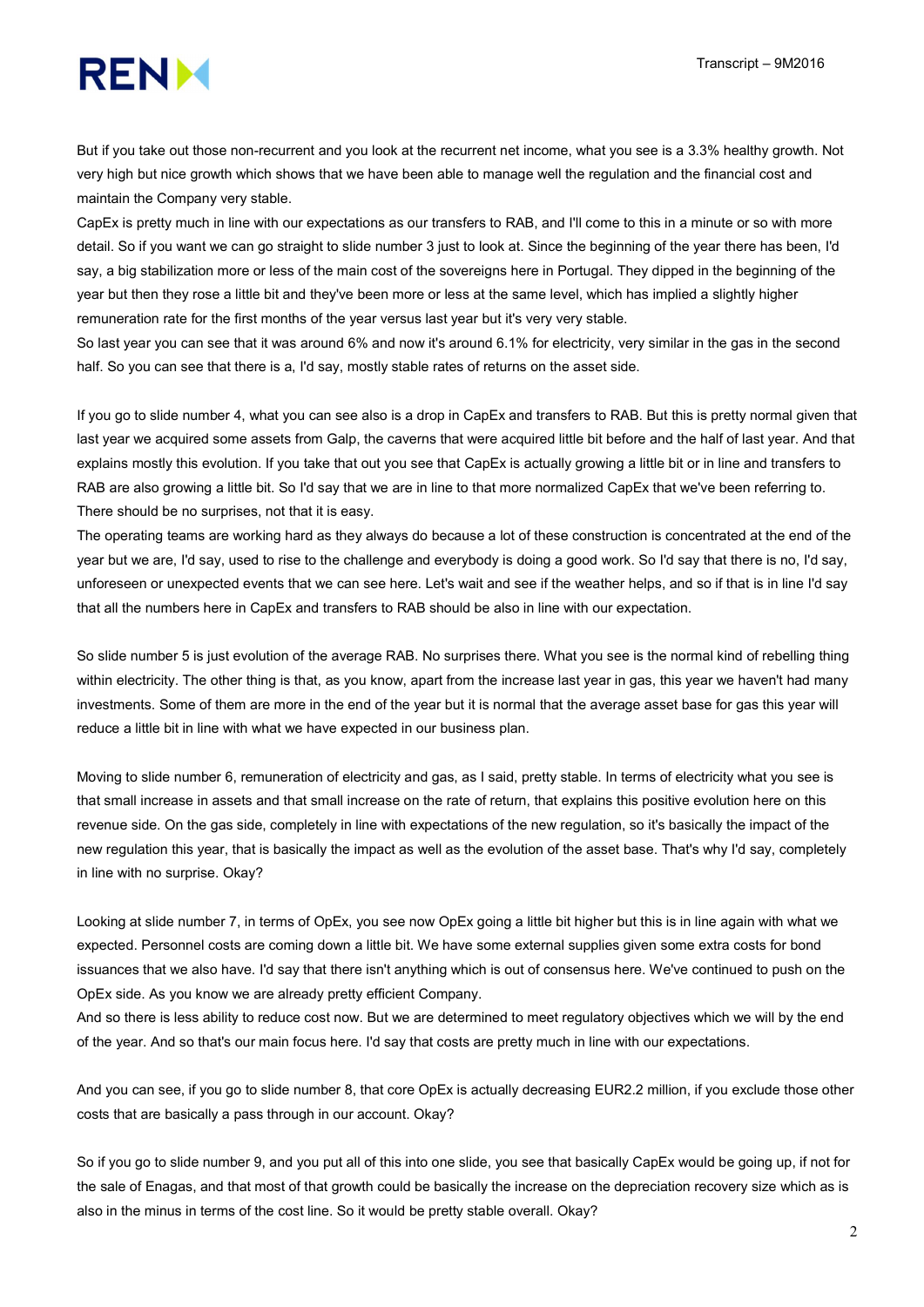

But if you take out those non-recurrent and you look at the recurrent net income, what you see is a 3.3% healthy growth. Not very high but nice growth which shows that we have been able to manage well the regulation and the financial cost and maintain the Company very stable.

CapEx is pretty much in line with our expectations as our transfers to RAB, and I'll come to this in a minute or so with more detail. So if you want we can go straight to slide number 3 just to look at. Since the beginning of the year there has been, I'd say, a big stabilization more or less of the main cost of the sovereigns here in Portugal. They dipped in the beginning of the year but then they rose a little bit and they've been more or less at the same level, which has implied a slightly higher remuneration rate for the first months of the year versus last year but it's very very stable.

So last year you can see that it was around 6% and now it's around 6.1% for electricity, very similar in the gas in the second half. So you can see that there is a, I'd say, mostly stable rates of returns on the asset side.

If you go to slide number 4, what you can see also is a drop in CapEx and transfers to RAB. But this is pretty normal given that last year we acquired some assets from Galp, the caverns that were acquired little bit before and the half of last year. And that explains mostly this evolution. If you take that out you see that CapEx is actually growing a little bit or in line and transfers to RAB are also growing a little bit. So I'd say that we are in line to that more normalized CapEx that we've been referring to. There should be no surprises, not that it is easy.

The operating teams are working hard as they always do because a lot of these construction is concentrated at the end of the year but we are, I'd say, used to rise to the challenge and everybody is doing a good work. So I'd say that there is no, I'd say, unforeseen or unexpected events that we can see here. Let's wait and see if the weather helps, and so if that is in line I'd say that all the numbers here in CapEx and transfers to RAB should be also in line with our expectation.

So slide number 5 is just evolution of the average RAB. No surprises there. What you see is the normal kind of rebelling thing within electricity. The other thing is that, as you know, apart from the increase last year in gas, this year we haven't had many investments. Some of them are more in the end of the year but it is normal that the average asset base for gas this year will reduce a little bit in line with what we have expected in our business plan.

Moving to slide number 6, remuneration of electricity and gas, as I said, pretty stable. In terms of electricity what you see is that small increase in assets and that small increase on the rate of return, that explains this positive evolution here on this revenue side. On the gas side, completely in line with expectations of the new regulation, so it's basically the impact of the new regulation this year, that is basically the impact as well as the evolution of the asset base. That's why I'd say, completely in line with no surprise. Okay?

Looking at slide number 7, in terms of OpEx, you see now OpEx going a little bit higher but this is in line again with what we expected. Personnel costs are coming down a little bit. We have some external supplies given some extra costs for bond issuances that we also have. I'd say that there isn't anything which is out of consensus here. We've continued to push on the OpEx side. As you know we are already pretty efficient Company.

And so there is less ability to reduce cost now. But we are determined to meet regulatory objectives which we will by the end of the year. And so that's our main focus here. I'd say that costs are pretty much in line with our expectations.

And you can see, if you go to slide number 8, that core OpEx is actually decreasing EUR2.2 million, if you exclude those other costs that are basically a pass through in our account. Okay?

So if you go to slide number 9, and you put all of this into one slide, you see that basically CapEx would be going up, if not for the sale of Enagas, and that most of that growth could be basically the increase on the depreciation recovery size which as is also in the minus in terms of the cost line. So it would be pretty stable overall. Okay?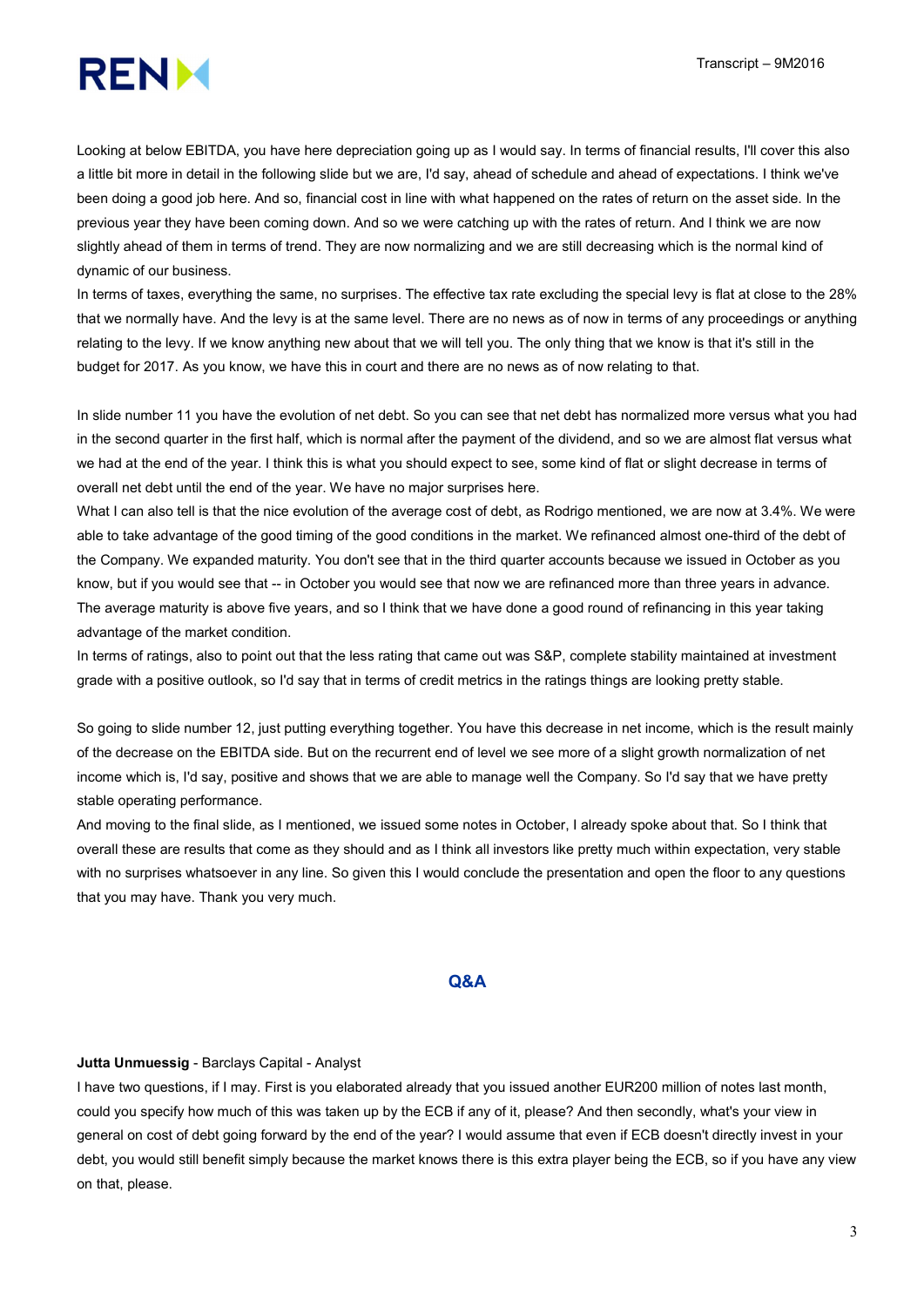

Looking at below EBITDA, you have here depreciation going up as I would say. In terms of financial results, I'll cover this also a little bit more in detail in the following slide but we are, I'd say, ahead of schedule and ahead of expectations. I think we've been doing a good job here. And so, financial cost in line with what happened on the rates of return on the asset side. In the previous year they have been coming down. And so we were catching up with the rates of return. And I think we are now slightly ahead of them in terms of trend. They are now normalizing and we are still decreasing which is the normal kind of dynamic of our business.

In terms of taxes, everything the same, no surprises. The effective tax rate excluding the special levy is flat at close to the 28% that we normally have. And the levy is at the same level. There are no news as of now in terms of any proceedings or anything relating to the levy. If we know anything new about that we will tell you. The only thing that we know is that it's still in the budget for 2017. As you know, we have this in court and there are no news as of now relating to that.

In slide number 11 you have the evolution of net debt. So you can see that net debt has normalized more versus what you had in the second quarter in the first half, which is normal after the payment of the dividend, and so we are almost flat versus what we had at the end of the year. I think this is what you should expect to see, some kind of flat or slight decrease in terms of overall net debt until the end of the year. We have no major surprises here.

What I can also tell is that the nice evolution of the average cost of debt, as Rodrigo mentioned, we are now at 3.4%. We were able to take advantage of the good timing of the good conditions in the market. We refinanced almost one-third of the debt of the Company. We expanded maturity. You don't see that in the third quarter accounts because we issued in October as you know, but if you would see that -- in October you would see that now we are refinanced more than three years in advance. The average maturity is above five years, and so I think that we have done a good round of refinancing in this year taking advantage of the market condition.

In terms of ratings, also to point out that the less rating that came out was S&P, complete stability maintained at investment grade with a positive outlook, so I'd say that in terms of credit metrics in the ratings things are looking pretty stable.

So going to slide number 12, just putting everything together. You have this decrease in net income, which is the result mainly of the decrease on the EBITDA side. But on the recurrent end of level we see more of a slight growth normalization of net income which is, I'd say, positive and shows that we are able to manage well the Company. So I'd say that we have pretty stable operating performance.

And moving to the final slide, as I mentioned, we issued some notes in October, I already spoke about that. So I think that overall these are results that come as they should and as I think all investors like pretty much within expectation, very stable with no surprises whatsoever in any line. So given this I would conclude the presentation and open the floor to any questions that you may have. Thank you very much.

## Q&A

#### Jutta Unmuessig - Barclays Capital - Analyst

I have two questions, if I may. First is you elaborated already that you issued another EUR200 million of notes last month, could you specify how much of this was taken up by the ECB if any of it, please? And then secondly, what's your view in general on cost of debt going forward by the end of the year? I would assume that even if ECB doesn't directly invest in your debt, you would still benefit simply because the market knows there is this extra player being the ECB, so if you have any view on that, please.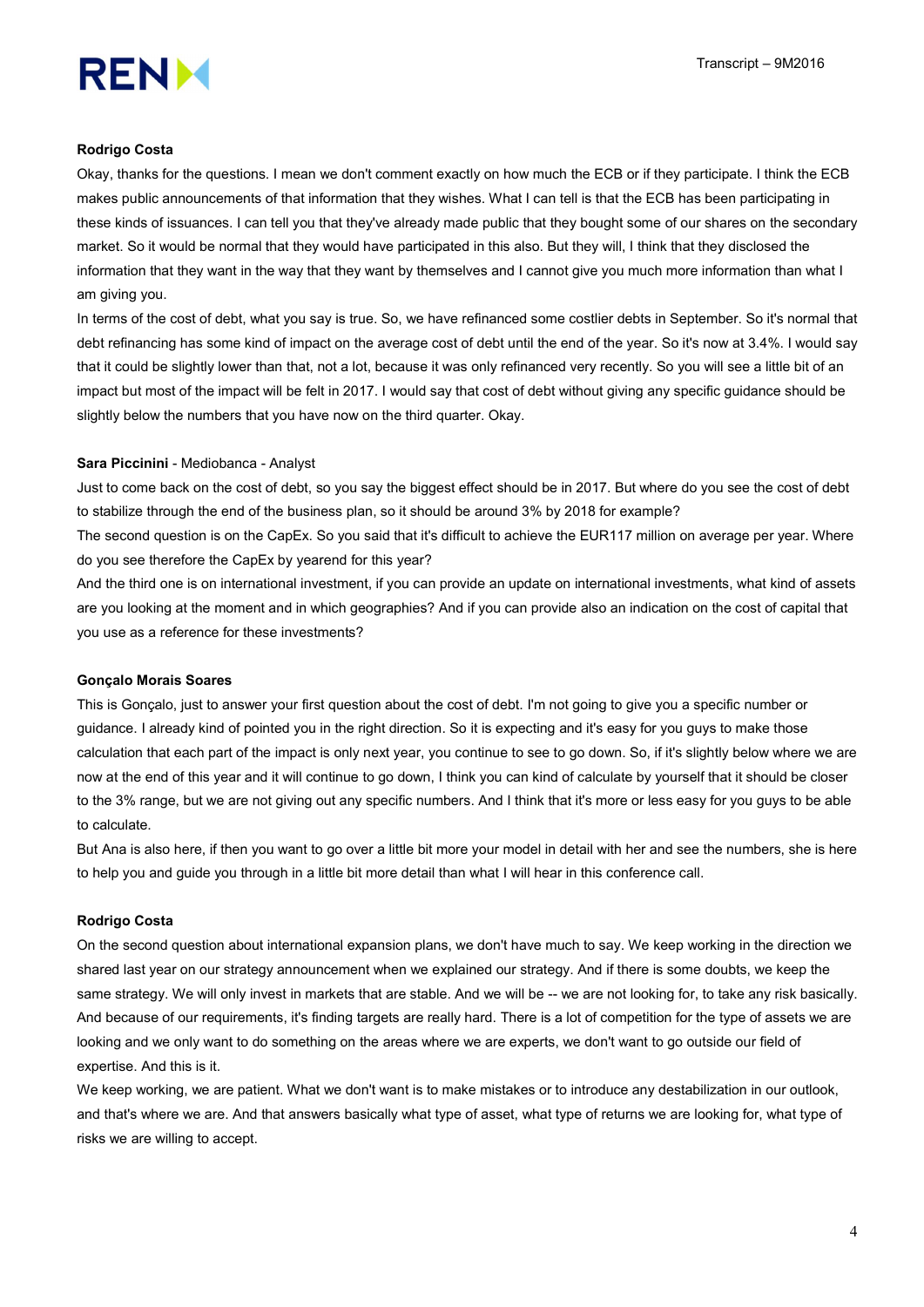

## Rodrigo Costa

Okay, thanks for the questions. I mean we don't comment exactly on how much the ECB or if they participate. I think the ECB makes public announcements of that information that they wishes. What I can tell is that the ECB has been participating in these kinds of issuances. I can tell you that they've already made public that they bought some of our shares on the secondary market. So it would be normal that they would have participated in this also. But they will, I think that they disclosed the information that they want in the way that they want by themselves and I cannot give you much more information than what I am giving you.

In terms of the cost of debt, what you say is true. So, we have refinanced some costlier debts in September. So it's normal that debt refinancing has some kind of impact on the average cost of debt until the end of the year. So it's now at 3.4%. I would say that it could be slightly lower than that, not a lot, because it was only refinanced very recently. So you will see a little bit of an impact but most of the impact will be felt in 2017. I would say that cost of debt without giving any specific guidance should be slightly below the numbers that you have now on the third quarter. Okay.

#### Sara Piccinini - Mediobanca - Analyst

Just to come back on the cost of debt, so you say the biggest effect should be in 2017. But where do you see the cost of debt to stabilize through the end of the business plan, so it should be around 3% by 2018 for example?

The second question is on the CapEx. So you said that it's difficult to achieve the EUR117 million on average per year. Where do you see therefore the CapEx by yearend for this year?

And the third one is on international investment, if you can provide an update on international investments, what kind of assets are you looking at the moment and in which geographies? And if you can provide also an indication on the cost of capital that you use as a reference for these investments?

#### Gonçalo Morais Soares

This is Gonçalo, just to answer your first question about the cost of debt. I'm not going to give you a specific number or guidance. I already kind of pointed you in the right direction. So it is expecting and it's easy for you guys to make those calculation that each part of the impact is only next year, you continue to see to go down. So, if it's slightly below where we are now at the end of this year and it will continue to go down, I think you can kind of calculate by yourself that it should be closer to the 3% range, but we are not giving out any specific numbers. And I think that it's more or less easy for you guys to be able to calculate.

But Ana is also here, if then you want to go over a little bit more your model in detail with her and see the numbers, she is here to help you and guide you through in a little bit more detail than what I will hear in this conference call.

#### Rodrigo Costa

On the second question about international expansion plans, we don't have much to say. We keep working in the direction we shared last year on our strategy announcement when we explained our strategy. And if there is some doubts, we keep the same strategy. We will only invest in markets that are stable. And we will be -- we are not looking for, to take any risk basically. And because of our requirements, it's finding targets are really hard. There is a lot of competition for the type of assets we are looking and we only want to do something on the areas where we are experts, we don't want to go outside our field of expertise. And this is it.

We keep working, we are patient. What we don't want is to make mistakes or to introduce any destabilization in our outlook, and that's where we are. And that answers basically what type of asset, what type of returns we are looking for, what type of risks we are willing to accept.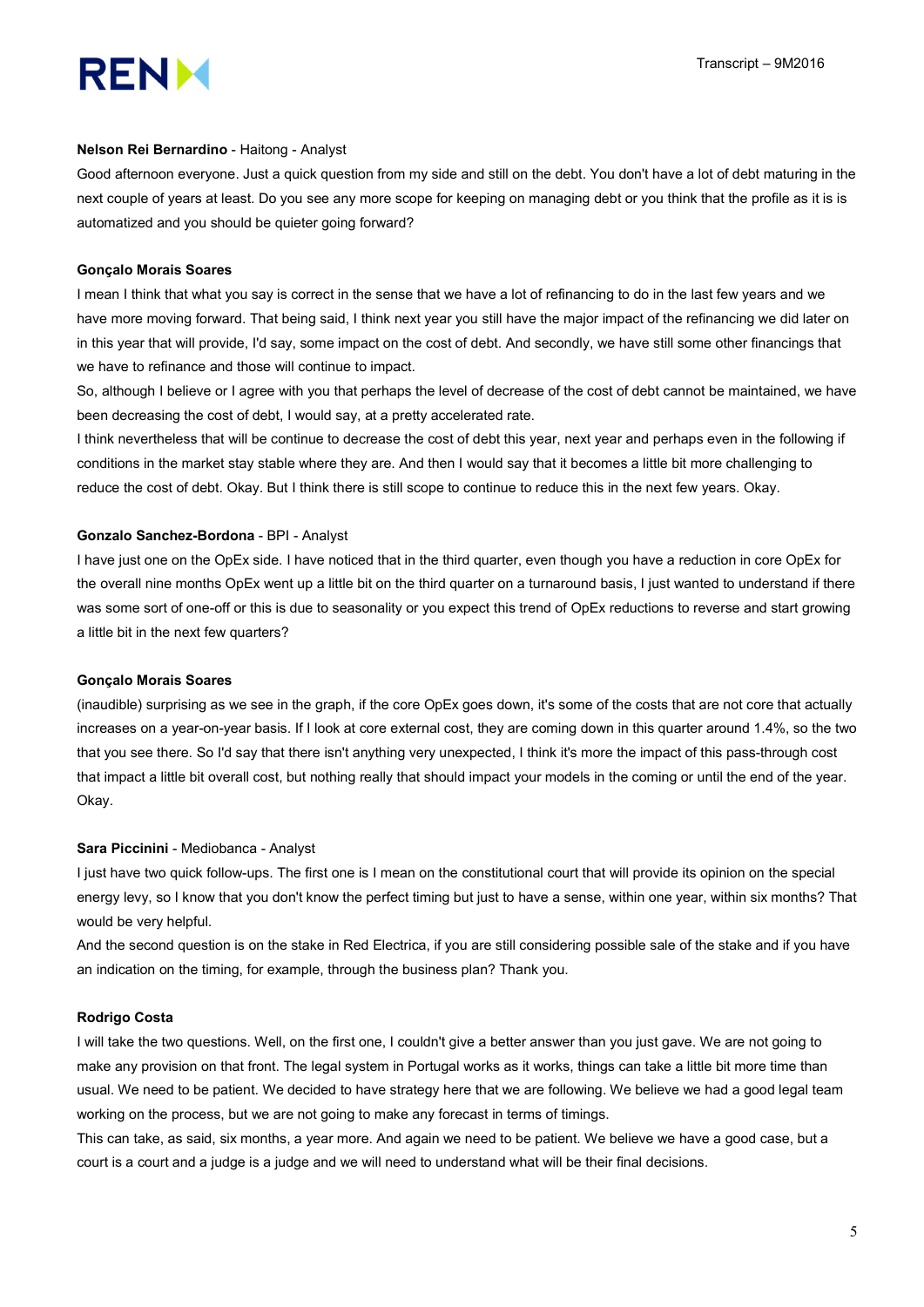

#### Nelson Rei Bernardino - Haitong - Analyst

Good afternoon everyone. Just a quick question from my side and still on the debt. You don't have a lot of debt maturing in the next couple of years at least. Do you see any more scope for keeping on managing debt or you think that the profile as it is is automatized and you should be quieter going forward?

# Gonçalo Morais Soares

I mean I think that what you say is correct in the sense that we have a lot of refinancing to do in the last few years and we have more moving forward. That being said, I think next year you still have the major impact of the refinancing we did later on in this year that will provide, I'd say, some impact on the cost of debt. And secondly, we have still some other financings that we have to refinance and those will continue to impact.

So, although I believe or I agree with you that perhaps the level of decrease of the cost of debt cannot be maintained, we have been decreasing the cost of debt, I would say, at a pretty accelerated rate.

I think nevertheless that will be continue to decrease the cost of debt this year, next year and perhaps even in the following if conditions in the market stay stable where they are. And then I would say that it becomes a little bit more challenging to reduce the cost of debt. Okay. But I think there is still scope to continue to reduce this in the next few years. Okay.

#### Gonzalo Sanchez-Bordona - BPI - Analyst

I have just one on the OpEx side. I have noticed that in the third quarter, even though you have a reduction in core OpEx for the overall nine months OpEx went up a little bit on the third quarter on a turnaround basis, I just wanted to understand if there was some sort of one-off or this is due to seasonality or you expect this trend of OpEx reductions to reverse and start growing a little bit in the next few quarters?

# Gonçalo Morais Soares

(inaudible) surprising as we see in the graph, if the core OpEx goes down, it's some of the costs that are not core that actually increases on a year-on-year basis. If I look at core external cost, they are coming down in this quarter around 1.4%, so the two that you see there. So I'd say that there isn't anything very unexpected, I think it's more the impact of this pass-through cost that impact a little bit overall cost, but nothing really that should impact your models in the coming or until the end of the year. Okay.

#### Sara Piccinini - Mediobanca - Analyst

I just have two quick follow-ups. The first one is I mean on the constitutional court that will provide its opinion on the special energy levy, so I know that you don't know the perfect timing but just to have a sense, within one year, within six months? That would be very helpful.

And the second question is on the stake in Red Electrica, if you are still considering possible sale of the stake and if you have an indication on the timing, for example, through the business plan? Thank you.

#### Rodrigo Costa

I will take the two questions. Well, on the first one, I couldn't give a better answer than you just gave. We are not going to make any provision on that front. The legal system in Portugal works as it works, things can take a little bit more time than usual. We need to be patient. We decided to have strategy here that we are following. We believe we had a good legal team working on the process, but we are not going to make any forecast in terms of timings.

This can take, as said, six months, a year more. And again we need to be patient. We believe we have a good case, but a court is a court and a judge is a judge and we will need to understand what will be their final decisions.